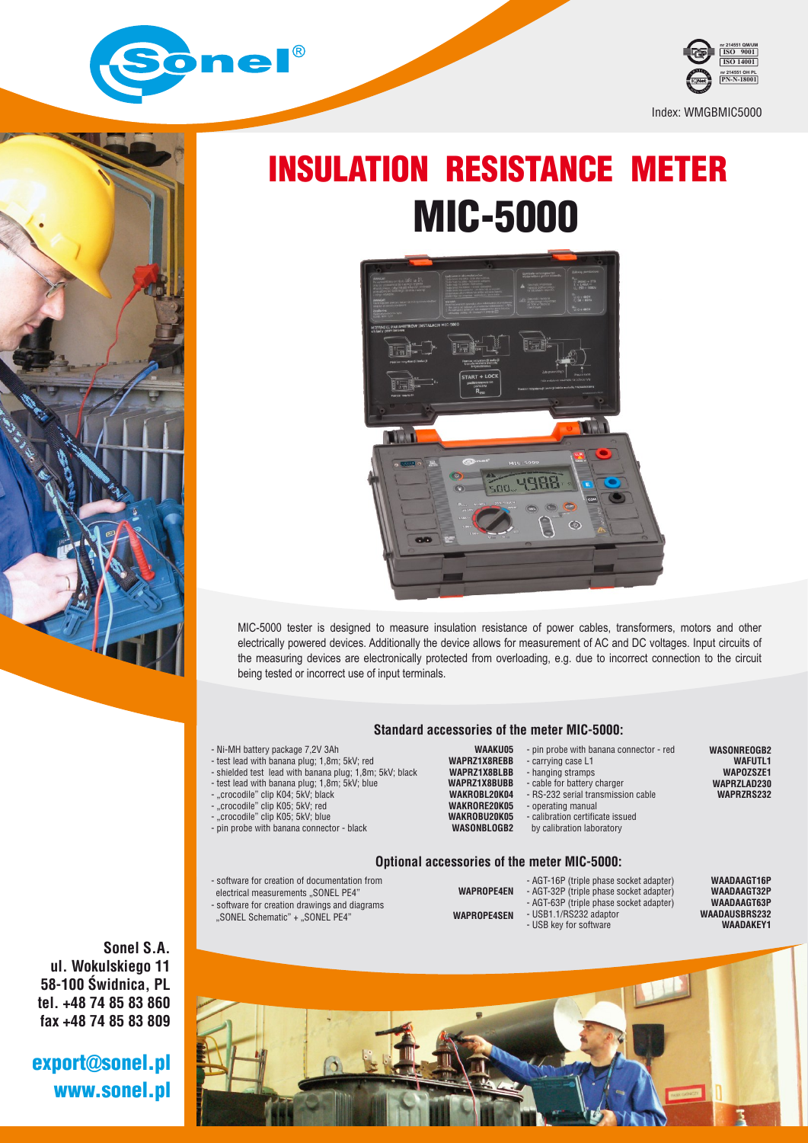



# INSULATION RESISTANCE METER MIC-5000



MIC-5000 tester is designed to measure insulation resistance of power cables, transformers, motors and other electrically powered devices. Additionally the device allows for measurement of AC and DC voltages. Input circuits of the measuring devices are electronically protected from overloading, e.g. due to incorrect connection to the circuit being tested or incorrect use of input terminals.

#### **Standard accessories of the meter MIC-5000: WAAKU05**

- Ni-MH battery package 7,2V 3Ah
- test lead with banana plug; 1,8m; 5kV; red
- shielded test lead with banana plug; 1,8m; 5kV; black - test lead with banana plug; 1,8m; 5kV; blue
- 
- "crocodile" clip K04; 5kV; black - "crocodile" clip K05; 5kV; red "crocodile" clip K04; "crocodile" clip K05;
- "crocodile" clip K05; 5kV; blue
- pin probe with banana connector black

#### **WAPRZ1X8REBB WAPR71YSRIRB WAPRZ1X8BUBB** WAKROBI 20K04 **WAKRORE20K05 WAKROBU20K05**

**WASONBLOGB2**

- RS-232 serial transmission cable
	- operating manual

- USB key for software

- carrying case L1 - hanging stramps

- calibration certificate issued

- pin probe with banana connector - red

by calibration laboratory

- cable for battery charger

**WASONREOGB2 WAFUTL1 WAPOZSZE1 WAPRZLAD230 WAPRZRS232**

### **Optional accessories of the meter MIC-5000:**

- software for creation of documentation from
- electrical measurements "SONEL PE4"
- software for creation drawings and diagrams
- "SONEL Schematic" + "SONEL PE4"
- AGT-16P (triple phase socket adapter) - AGT-32P (triple phase socket adapter) - AGT-63P (triple phase socket adapter) - USB1.1/RS232 adaptor **WAPROPE4EN**
- **WAPROPE4SEN**

**WAADAAGT16P WAADAAGT32P WAADAAGT63P WAADAUSBRS232 WAADAKEY1**



**Sonel S.A. ul. Wokulskiego 11 58-100 Świdnica, PL tel. +48 74 85 83 860 fax +48 74 85 83 809**

## www.sonel.pl export@sonel.pl